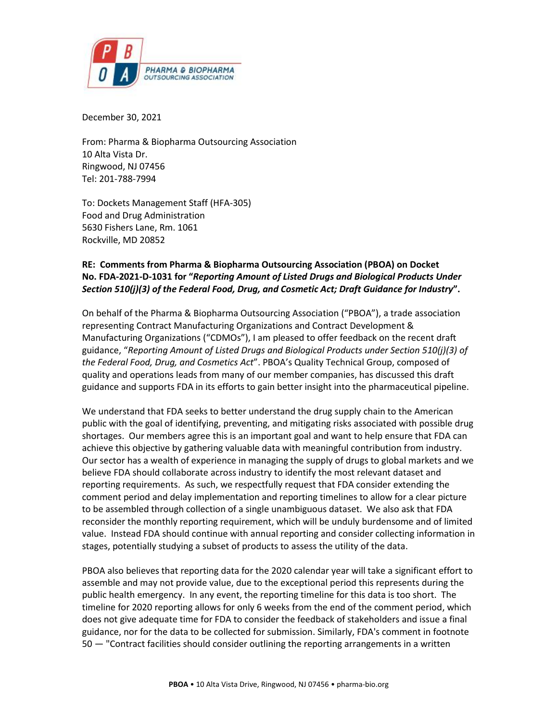

December 30, 2021

From: Pharma & Biopharma Outsourcing Association 10 Alta Vista Dr. Ringwood, NJ 07456 Tel: 201-788-7994

To: Dockets Management Staff (HFA-305) Food and Drug Administration 5630 Fishers Lane, Rm. 1061 Rockville, MD 20852

## **RE: Comments from Pharma & Biopharma Outsourcing Association (PBOA) on Docket No. FDA-2021-D-1031 for "***Reporting Amount of Listed Drugs and Biological Products Under Section 510(j)(3) of the Federal Food, Drug, and Cosmetic Act; Draft Guidance for Industry***".**

On behalf of the Pharma & Biopharma Outsourcing Association ("PBOA"), a trade association representing Contract Manufacturing Organizations and Contract Development & Manufacturing Organizations ("CDMOs"), I am pleased to offer feedback on the recent draft guidance, "*Reporting Amount of Listed Drugs and Biological Products under Section 510(j)(3) of the Federal Food, Drug, and Cosmetics Act*". PBOA's Quality Technical Group, composed of quality and operations leads from many of our member companies, has discussed this draft guidance and supports FDA in its efforts to gain better insight into the pharmaceutical pipeline.

We understand that FDA seeks to better understand the drug supply chain to the American public with the goal of identifying, preventing, and mitigating risks associated with possible drug shortages. Our members agree this is an important goal and want to help ensure that FDA can achieve this objective by gathering valuable data with meaningful contribution from industry. Our sector has a wealth of experience in managing the supply of drugs to global markets and we believe FDA should collaborate across industry to identify the most relevant dataset and reporting requirements. As such, we respectfully request that FDA consider extending the comment period and delay implementation and reporting timelines to allow for a clear picture to be assembled through collection of a single unambiguous dataset. We also ask that FDA reconsider the monthly reporting requirement, which will be unduly burdensome and of limited value. Instead FDA should continue with annual reporting and consider collecting information in stages, potentially studying a subset of products to assess the utility of the data.

PBOA also believes that reporting data for the 2020 calendar year will take a significant effort to assemble and may not provide value, due to the exceptional period this represents during the public health emergency. In any event, the reporting timeline for this data is too short. The timeline for 2020 reporting allows for only 6 weeks from the end of the comment period, which does not give adequate time for FDA to consider the feedback of stakeholders and issue a final guidance, nor for the data to be collected for submission. Similarly, FDA's comment in footnote 50 — "Contract facilities should consider outlining the reporting arrangements in a written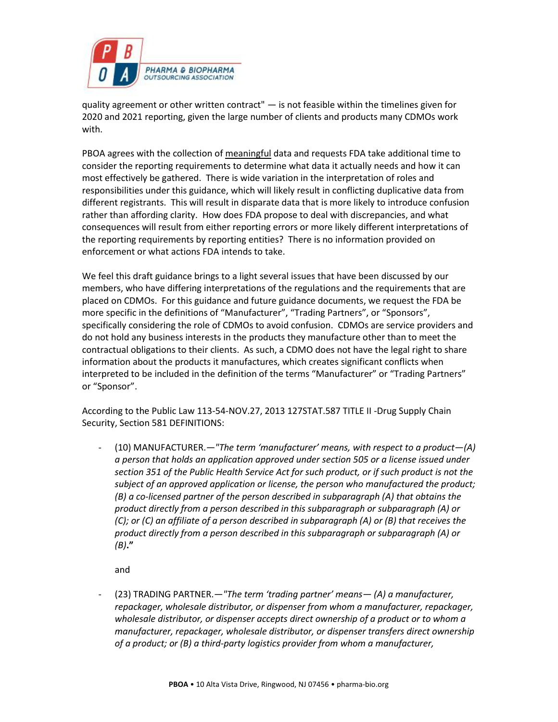

quality agreement or other written contract"  $-$  is not feasible within the timelines given for 2020 and 2021 reporting, given the large number of clients and products many CDMOs work with.

PBOA agrees with the collection of meaningful data and requests FDA take additional time to consider the reporting requirements to determine what data it actually needs and how it can most effectively be gathered. There is wide variation in the interpretation of roles and responsibilities under this guidance, which will likely result in conflicting duplicative data from different registrants. This will result in disparate data that is more likely to introduce confusion rather than affording clarity. How does FDA propose to deal with discrepancies, and what consequences will result from either reporting errors or more likely different interpretations of the reporting requirements by reporting entities? There is no information provided on enforcement or what actions FDA intends to take.

We feel this draft guidance brings to a light several issues that have been discussed by our members, who have differing interpretations of the regulations and the requirements that are placed on CDMOs. For this guidance and future guidance documents, we request the FDA be more specific in the definitions of "Manufacturer", "Trading Partners", or "Sponsors", specifically considering the role of CDMOs to avoid confusion. CDMOs are service providers and do not hold any business interests in the products they manufacture other than to meet the contractual obligations to their clients. As such, a CDMO does not have the legal right to share information about the products it manufactures, which creates significant conflicts when interpreted to be included in the definition of the terms "Manufacturer" or "Trading Partners" or "Sponsor".

According to the Public Law 113-54-NOV.27, 2013 127STAT.587 TITLE II -Drug Supply Chain Security, Section 581 DEFINITIONS:

- (10) MANUFACTURER.—*"The term 'manufacturer' means, with respect to a product—(A) a person that holds an application approved under section 505 or a license issued under section 351 of the Public Health Service Act for such product, or if such product is not the subject of an approved application or license, the person who manufactured the product; (B) a co-licensed partner of the person described in subparagraph (A) that obtains the product directly from a person described in this subparagraph or subparagraph (A) or (C); or (C) an affiliate of a person described in subparagraph (A) or (B) that receives the product directly from a person described in this subparagraph or subparagraph (A) or (B)***."**

and

- (23) TRADING PARTNER.—*"The term 'trading partner' means— (A) a manufacturer, repackager, wholesale distributor, or dispenser from whom a manufacturer, repackager, wholesale distributor, or dispenser accepts direct ownership of a product or to whom a manufacturer, repackager, wholesale distributor, or dispenser transfers direct ownership of a product; or (B) a third-party logistics provider from whom a manufacturer,*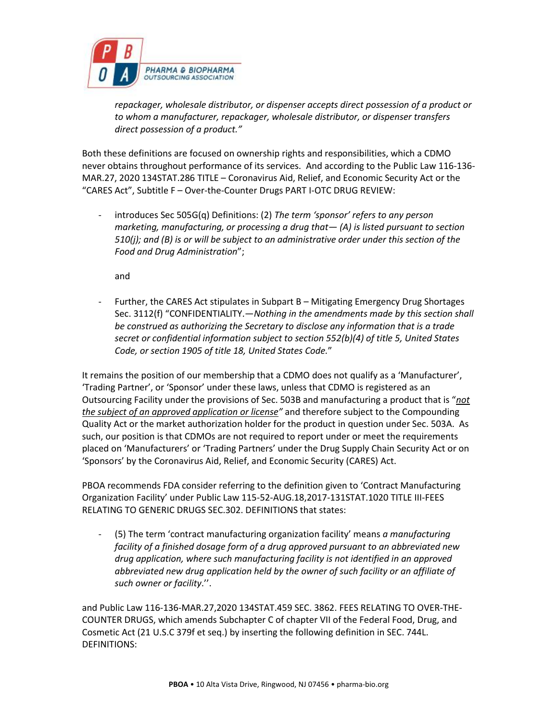

*repackager, wholesale distributor, or dispenser accepts direct possession of a product or to whom a manufacturer, repackager, wholesale distributor, or dispenser transfers direct possession of a product."*

Both these definitions are focused on ownership rights and responsibilities, which a CDMO never obtains throughout performance of its services. And according to the Public Law 116-136- MAR.27, 2020 134STAT.286 TITLE – Coronavirus Aid, Relief, and Economic Security Act or the "CARES Act", Subtitle F – Over-the-Counter Drugs PART I-OTC DRUG REVIEW:

introduces Sec 505G(q) Definitions: (2) *The term 'sponsor' refers to any person marketing, manufacturing, or processing a drug that— (A) is listed pursuant to section 510(j); and (B) is or will be subject to an administrative order under this section of the Food and Drug Administration*";

and

Further, the CARES Act stipulates in Subpart B – Mitigating Emergency Drug Shortages Sec. 3112(f) "CONFIDENTIALITY.—*Nothing in the amendments made by this section shall be construed as authorizing the Secretary to disclose any information that is a trade secret or confidential information subject to section 552(b)(4) of title 5, United States Code, or section 1905 of title 18, United States Code.*"

It remains the position of our membership that a CDMO does not qualify as a 'Manufacturer', 'Trading Partner', or 'Sponsor' under these laws, unless that CDMO is registered as an Outsourcing Facility under the provisions of Sec. 503B and manufacturing a product that is "*not the subject of an approved application or license"* and therefore subject to the Compounding Quality Act or the market authorization holder for the product in question under Sec. 503A. As such, our position is that CDMOs are not required to report under or meet the requirements placed on 'Manufacturers' or 'Trading Partners' under the Drug Supply Chain Security Act or on 'Sponsors' by the Coronavirus Aid, Relief, and Economic Security (CARES) Act.

PBOA recommends FDA consider referring to the definition given to 'Contract Manufacturing Organization Facility' under Public Law 115-52-AUG.18,2017-131STAT.1020 TITLE III-FEES RELATING TO GENERIC DRUGS SEC.302. DEFINITIONS that states:

- (5) The term 'contract manufacturing organization facility' means *a manufacturing facility of a finished dosage form of a drug approved pursuant to an abbreviated new drug application, where such manufacturing facility is not identified in an approved abbreviated new drug application held by the owner of such facility or an affiliate of such owner or facility*.''.

and Public Law 116-136-MAR.27,2020 134STAT.459 SEC. 3862. FEES RELATING TO OVER-THE-COUNTER DRUGS, which amends Subchapter C of chapter VII of the Federal Food, Drug, and Cosmetic Act (21 U.S.C 379f et seq.) by inserting the following definition in SEC. 744L. DEFINITIONS: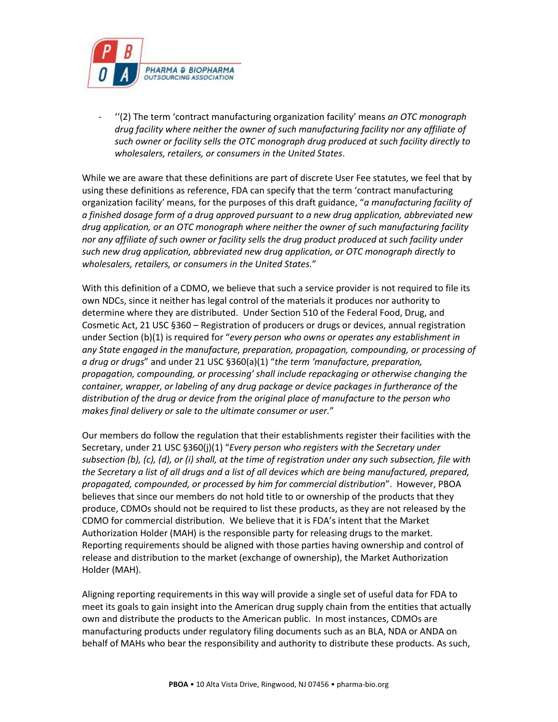

- ''(2) The term 'contract manufacturing organization facility' means *an OTC monograph drug facility where neither the owner of such manufacturing facility nor any affiliate of such owner or facility sells the OTC monograph drug produced at such facility directly to wholesalers, retailers, or consumers in the United States*.

While we are aware that these definitions are part of discrete User Fee statutes, we feel that by using these definitions as reference, FDA can specify that the term 'contract manufacturing organization facility' means, for the purposes of this draft guidance, "*a manufacturing facility of a finished dosage form of a drug approved pursuant to a new drug application, abbreviated new drug application, or an OTC monograph where neither the owner of such manufacturing facility nor any affiliate of such owner or facility sells the drug product produced at such facility under such new drug application, abbreviated new drug application, or OTC monograph directly to wholesalers, retailers, or consumers in the United States.*"

With this definition of a CDMO, we believe that such a service provider is not required to file its own NDCs, since it neither has legal control of the materials it produces nor authority to determine where they are distributed. Under Section 510 of the Federal Food, Drug, and Cosmetic Act, 21 USC §360 – Registration of producers or drugs or devices, annual registration under Section (b)(1) is required for "*every person who owns or operates any establishment in any State engaged in the manufacture, preparation, propagation, compounding, or processing of a drug or drugs*" and under 21 USC §360(a)(1) "*the term 'manufacture, preparation, propagation, compounding, or processing' shall include repackaging or otherwise changing the container, wrapper, or labeling of any drug package or device packages in furtherance of the distribution of the drug or device from the original place of manufacture to the person who makes final delivery or sale to the ultimate consumer or user.*"

Our members do follow the regulation that their establishments register their facilities with the Secretary, under 21 USC §360(j)(1) "*Every person who registers with the Secretary under subsection (b), (c), (d), or (i) shall, at the time of registration under any such subsection, file with the Secretary a list of all drugs and a list of all devices which are being manufactured, prepared, propagated, compounded, or processed by him for commercial distribution*". However, PBOA believes that since our members do not hold title to or ownership of the products that they produce, CDMOs should not be required to list these products, as they are not released by the CDMO for commercial distribution. We believe that it is FDA's intent that the Market Authorization Holder (MAH) is the responsible party for releasing drugs to the market. Reporting requirements should be aligned with those parties having ownership and control of release and distribution to the market (exchange of ownership), the Market Authorization Holder (MAH).

Aligning reporting requirements in this way will provide a single set of useful data for FDA to meet its goals to gain insight into the American drug supply chain from the entities that actually own and distribute the products to the American public. In most instances, CDMOs are manufacturing products under regulatory filing documents such as an BLA, NDA or ANDA on behalf of MAHs who bear the responsibility and authority to distribute these products. As such,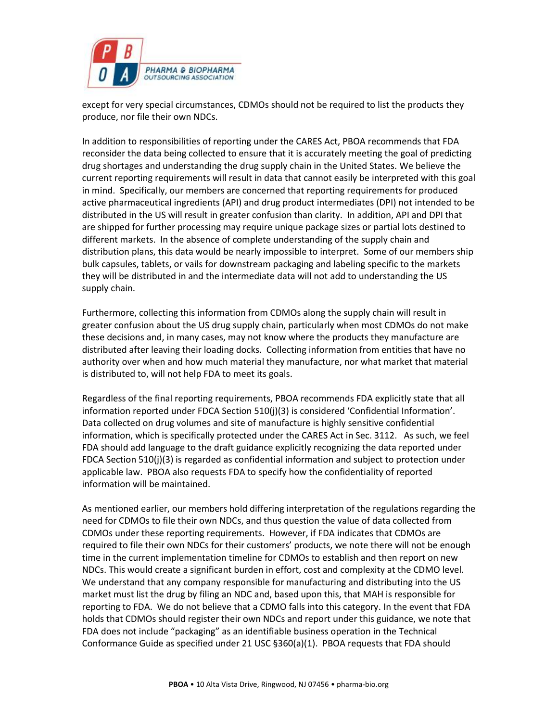

except for very special circumstances, CDMOs should not be required to list the products they produce, nor file their own NDCs.

In addition to responsibilities of reporting under the CARES Act, PBOA recommends that FDA reconsider the data being collected to ensure that it is accurately meeting the goal of predicting drug shortages and understanding the drug supply chain in the United States. We believe the current reporting requirements will result in data that cannot easily be interpreted with this goal in mind. Specifically, our members are concerned that reporting requirements for produced active pharmaceutical ingredients (API) and drug product intermediates (DPI) not intended to be distributed in the US will result in greater confusion than clarity. In addition, API and DPI that are shipped for further processing may require unique package sizes or partial lots destined to different markets. In the absence of complete understanding of the supply chain and distribution plans, this data would be nearly impossible to interpret. Some of our members ship bulk capsules, tablets, or vails for downstream packaging and labeling specific to the markets they will be distributed in and the intermediate data will not add to understanding the US supply chain.

Furthermore, collecting this information from CDMOs along the supply chain will result in greater confusion about the US drug supply chain, particularly when most CDMOs do not make these decisions and, in many cases, may not know where the products they manufacture are distributed after leaving their loading docks. Collecting information from entities that have no authority over when and how much material they manufacture, nor what market that material is distributed to, will not help FDA to meet its goals.

Regardless of the final reporting requirements, PBOA recommends FDA explicitly state that all information reported under FDCA Section 510(j)(3) is considered 'Confidential Information'. Data collected on drug volumes and site of manufacture is highly sensitive confidential information, which is specifically protected under the CARES Act in Sec. 3112. As such, we feel FDA should add language to the draft guidance explicitly recognizing the data reported under FDCA Section 510(j)(3) is regarded as confidential information and subject to protection under applicable law. PBOA also requests FDA to specify how the confidentiality of reported information will be maintained.

As mentioned earlier, our members hold differing interpretation of the regulations regarding the need for CDMOs to file their own NDCs, and thus question the value of data collected from CDMOs under these reporting requirements. However, if FDA indicates that CDMOs are required to file their own NDCs for their customers' products, we note there will not be enough time in the current implementation timeline for CDMOs to establish and then report on new NDCs. This would create a significant burden in effort, cost and complexity at the CDMO level. We understand that any company responsible for manufacturing and distributing into the US market must list the drug by filing an NDC and, based upon this, that MAH is responsible for reporting to FDA. We do not believe that a CDMO falls into this category. In the event that FDA holds that CDMOs should register their own NDCs and report under this guidance, we note that FDA does not include "packaging" as an identifiable business operation in the Technical Conformance Guide as specified under 21 USC §360(a)(1). PBOA requests that FDA should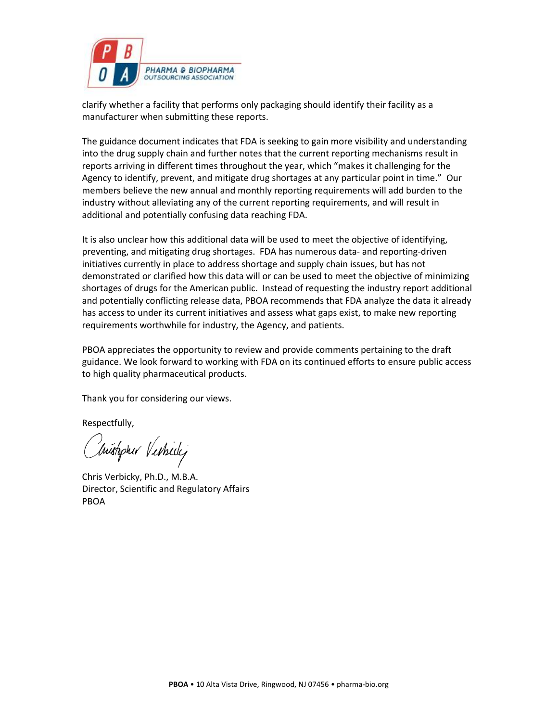

clarify whether a facility that performs only packaging should identify their facility as a manufacturer when submitting these reports.

The guidance document indicates that FDA is seeking to gain more visibility and understanding into the drug supply chain and further notes that the current reporting mechanisms result in reports arriving in different times throughout the year, which "makes it challenging for the Agency to identify, prevent, and mitigate drug shortages at any particular point in time." Our members believe the new annual and monthly reporting requirements will add burden to the industry without alleviating any of the current reporting requirements, and will result in additional and potentially confusing data reaching FDA.

It is also unclear how this additional data will be used to meet the objective of identifying, preventing, and mitigating drug shortages. FDA has numerous data- and reporting-driven initiatives currently in place to address shortage and supply chain issues, but has not demonstrated or clarified how this data will or can be used to meet the objective of minimizing shortages of drugs for the American public. Instead of requesting the industry report additional and potentially conflicting release data, PBOA recommends that FDA analyze the data it already has access to under its current initiatives and assess what gaps exist, to make new reporting requirements worthwhile for industry, the Agency, and patients.

PBOA appreciates the opportunity to review and provide comments pertaining to the draft guidance. We look forward to working with FDA on its continued efforts to ensure public access to high quality pharmaceutical products.

Thank you for considering our views.

Respectfully,

Inistopher Verticle

Chris Verbicky, Ph.D., M.B.A. Director, Scientific and Regulatory Affairs PBOA